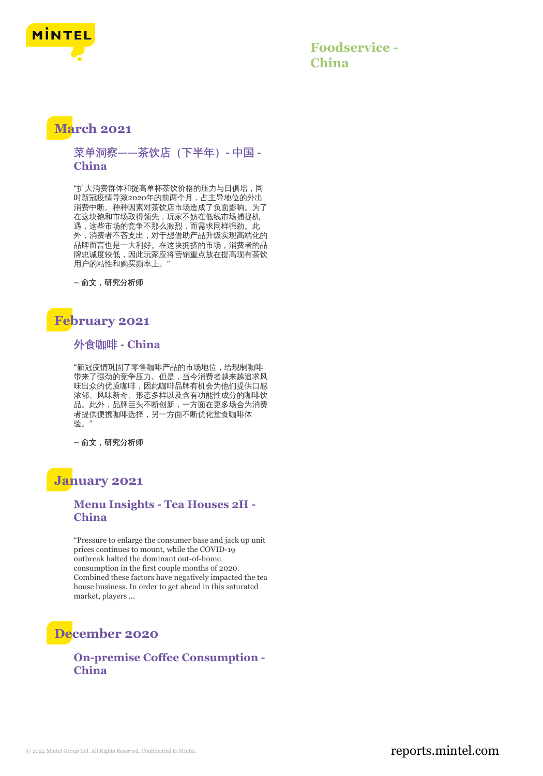

**Foodservice - China**

## **March 2021**

菜单洞察**——**茶饮店(下半年)**-** 中国 **- China**

"扩大消费群体和提高单杯茶饮价格的压力与日俱增,同 时新冠疫情导致2020年的前两个月,占主导地位的外出 消费中断。种种因素对茶饮店市场造成了负面影响。为了 在这块饱和市场取得领先,玩家不妨在低线市场捕捉机 遇,这些市场的竞争不那么激烈,而需求同样强劲。此 外,消费者不吝支出,对于想借助产品升级实现高端化的 品牌而言也是一大利好。在这块拥挤的市场,消费者的品 牌忠诚度较低,因此玩家应将营销重点放在提高现有茶饮 用户的粘性和购买频率上。"

**–** 俞文,研究分析师

# **February 2021**

外食咖啡 **- China**

"新冠疫情巩固了零售咖啡产品的市场地位,给现制咖啡 带来了强劲的竞争压力。但是,当今消费者越来越追求风 味出众的优质咖啡,因此咖啡品牌有机会为他们提供口感 浓郁、风味新奇、形态多样以及含有功能性成分的咖啡饮 品。此外,品牌巨头不断创新,一方面在更多场合为消费 者提供便携咖啡选择,另一方面不断优化堂食咖啡体 验。"

**–** 俞文,研究分析师

## **January 2021**

#### **Menu Insights - Tea Houses 2H - China**

"Pressure to enlarge the consumer base and jack up unit prices continues to mount, while the COVID-19 outbreak halted the dominant out-of-home consumption in the first couple months of 2020. Combined these factors have negatively impacted the tea house business. In order to get ahead in this saturated market, players ...

# **December 2020**

#### **On-premise Coffee Consumption - China**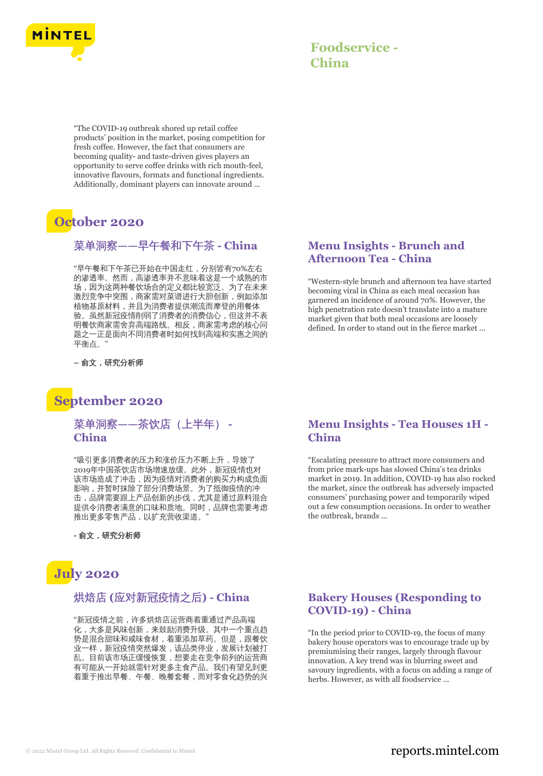

# **Foodservice - China**

"The COVID-19 outbreak shored up retail coffee products' position in the market, posing competition for fresh coffee. However, the fact that consumers are becoming quality- and taste-driven gives players an opportunity to serve coffee drinks with rich mouth-feel, innovative flavours, formats and functional ingredients. Additionally, dominant players can innovate around ...

# **October 2020**

### 菜单洞察**——**早午餐和下午茶 **- China**

"早午餐和下午茶已开始在中国走红,分别皆有70%左右 的渗透率。然而,高渗透率并不意味着这是一个成熟的市 场,因为这两种餐饮场合的定义都比较宽泛。为了在未来 激烈竞争中突围,商家需对菜谱进行大胆创新,例如添加 植物基原材料,并且为消费者提供潮流而摩登的用餐体 验。虽然新冠疫情削弱了消费者的消费信心,但这并不表 明餐饮商家需舍弃高端路线。相反,商家需考虑的核心问 题之一正是面向不同消费者时如何找到高端和实惠之间的 平衡点。"

**–** 俞文,研究分析师

## **September 2020**

#### 菜单洞察**——**茶饮店(上半年) **- China**

"吸引更多消费者的压力和涨价压力不断上升,导致了 2019年中国茶饮店市场增速放缓。此外,新冠疫情也对 该市场造成了冲击,因为疫情对消费者的购买力构成负面 影响,并暂时抹除了部分消费场景。为了抵御疫情的冲 击,品牌需要跟上产品创新的步伐,尤其是通过原料混合 提供令消费者满意的口味和质地。同时,品牌也需要考虑 推出更多零售产品, 以扩充营收渠道。

**-** 俞文,研究分析师

# **July 2020**

#### 烘焙店 **(**应对新冠疫情之后**) - China**

"新冠疫情之前,许多烘焙店运营商着重通过产品高端 化,大多是风味创新,来鼓励消费升级。其中一个重点趋 势是混合甜味和咸味食材,着重添加草药。但是,跟餐饮 业一样,新冠疫情突然爆发,该品类停业,发展计划被打 乱。目前该市场正缓慢恢复,想要走在竞争前列的运营商 有可能从一开始就需针对更多主食产品。我们有望见到更 着重于推出早餐、午餐、晚餐套餐,而对零食化趋势的兴

#### **Menu Insights - Brunch and Afternoon Tea - China**

"Western-style brunch and afternoon tea have started becoming viral in China as each meal occasion has garnered an incidence of around 70%. However, the high penetration rate doesn't translate into a mature market given that both meal occasions are loosely defined. In order to stand out in the fierce market ...

#### **Menu Insights - Tea Houses 1H - China**

"Escalating pressure to attract more consumers and from price mark-ups has slowed China's tea drinks market in 2019. In addition, COVID-19 has also rocked the market, since the outbreak has adversely impacted consumers' purchasing power and temporarily wiped out a few consumption occasions. In order to weather the outbreak, brands ...

#### **Bakery Houses (Responding to COVID-19) - China**

"In the period prior to COVID-19, the focus of many bakery house operators was to encourage trade up by premiumising their ranges, largely through flavour innovation. A key trend was in blurring sweet and savoury ingredients, with a focus on adding a range of herbs. However, as with all foodservice ...

#### © 2022 Mintel Group Ltd. All Rights Reserved. Confidential to Mintel.  $\blacksquare$  reports.mintel.com